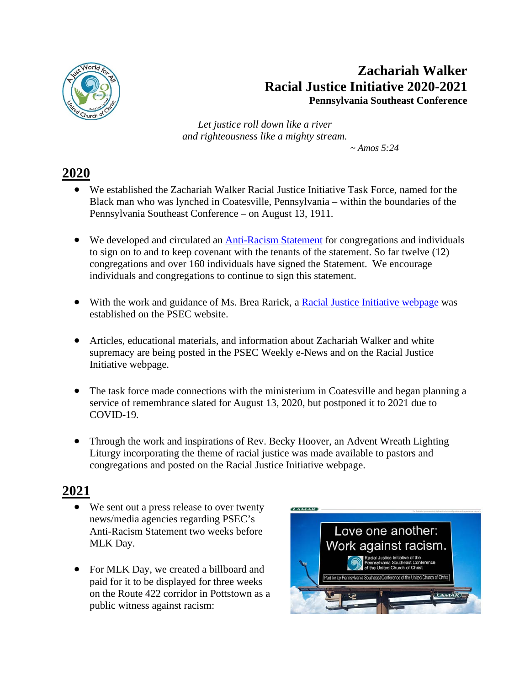

## **Zachariah Walker Racial Justice Initiative 2020-2021 Pennsylvania Southeast Conference**

*Let justice roll down like a river and righteousness like a mighty stream.*

 $\sim$  Amos 5:24

## **2020**

- We established the Zachariah Walker Racial Justice Initiative Task Force, named for the Black man who was lynched in Coatesville, Pennsylvania – within the boundaries of the Pennsylvania Southeast Conference – on August 13, 1911.
- We developed and circulated an [Anti-Racism Statement](https://www.ipetitions.com/petition/psecucc-antiracism-statement) for congregations and individuals to sign on to and to keep covenant with the tenants of the statement. So far twelve (12) congregations and over 160 individuals have signed the Statement. We encourage individuals and congregations to continue to sign this statement.
- With the work and guidance of Ms. Brea Rarick, a [Racial Justice](https://psec.org/zachariah-walker/) Initiative webpage was established on the PSEC website.
- Articles, educational materials, and information about Zachariah Walker and white supremacy are being posted in the PSEC Weekly e-News and on the Racial Justice Initiative webpage.
- The task force made connections with the ministerium in Coatesville and began planning a service of remembrance slated for August 13, 2020, but postponed it to 2021 due to COVID-19.
- Through the work and inspirations of Rev. Becky Hoover, an Advent Wreath Lighting Liturgy incorporating the theme of racial justice was made available to pastors and congregations and posted on the Racial Justice Initiative webpage.

## **2021**

- We sent out a press release to over twenty news/media agencies regarding PSEC's Anti-Racism Statement two weeks before MLK Day.
- For MLK Day, we created a billboard and paid for it to be displayed for three weeks on the Route 422 corridor in Pottstown as a public witness against racism: